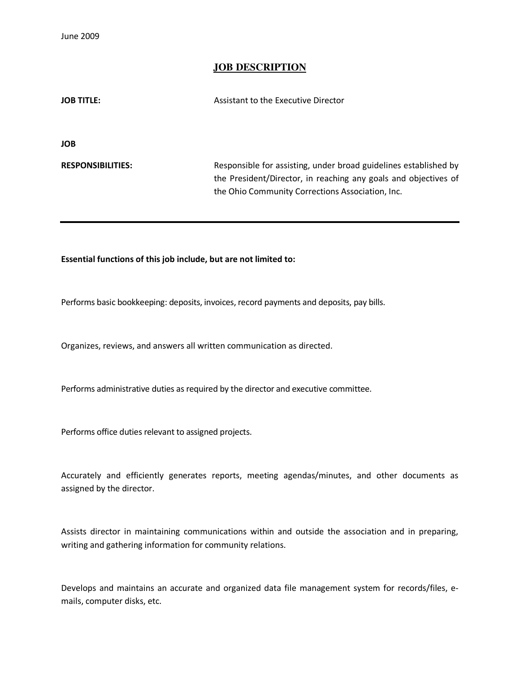June 2009

## **JOB DESCRIPTION**

| JOB TITLE:               | Assistant to the Executive Director                              |
|--------------------------|------------------------------------------------------------------|
|                          |                                                                  |
| JOB                      |                                                                  |
|                          |                                                                  |
| <b>RESPONSIBILITIES:</b> | Responsible for assisting, under broad guidelines established by |
|                          | the President/Director, in reaching any goals and objectives of  |
|                          | the Ohio Community Corrections Association, Inc.                 |

## Essential functions of this job include, but are not limited to:

Performs basic bookkeeping: deposits, invoices, record payments and deposits, pay bills.

Organizes, reviews, and answers all written communication as directed.

Performs administrative duties as required by the director and executive committee.

Performs office duties relevant to assigned projects.

Accurately and efficiently generates reports, meeting agendas/minutes, and other documents as assigned by the director.

Assists director in maintaining communications within and outside the association and in preparing, writing and gathering information for community relations.

Develops and maintains an accurate and organized data file management system for records/files, emails, computer disks, etc.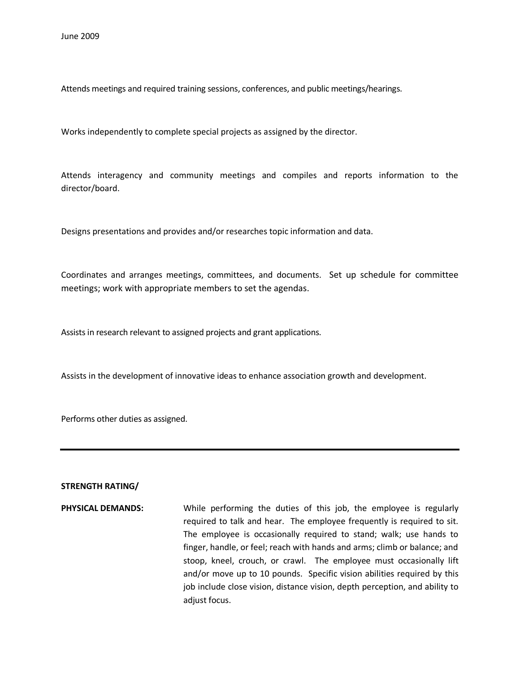Attends meetings and required training sessions, conferences, and public meetings/hearings.

Works independently to complete special projects as assigned by the director.

Attends interagency and community meetings and compiles and reports information to the director/board.

Designs presentations and provides and/or researches topic information and data.

Coordinates and arranges meetings, committees, and documents. Set up schedule for committee meetings; work with appropriate members to set the agendas.

Assists in research relevant to assigned projects and grant applications.

Assists in the development of innovative ideas to enhance association growth and development.

Performs other duties as assigned.

## STRENGTH RATING/

PHYSICAL DEMANDS: While performing the duties of this job, the employee is regularly required to talk and hear. The employee frequently is required to sit. The employee is occasionally required to stand; walk; use hands to finger, handle, or feel; reach with hands and arms; climb or balance; and stoop, kneel, crouch, or crawl. The employee must occasionally lift and/or move up to 10 pounds. Specific vision abilities required by this job include close vision, distance vision, depth perception, and ability to adjust focus.